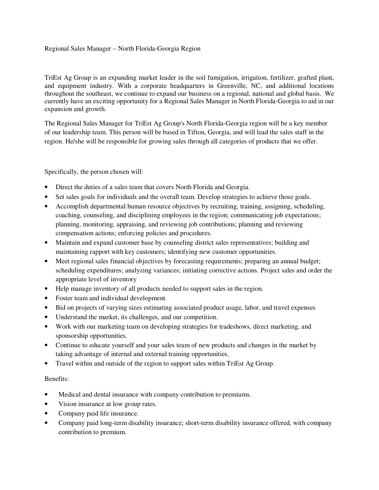## Regional Sales Manager – North Florida-Georgia Region

TriEst Ag Group is an expanding market leader in the soil fumigation, irrigation, fertilizer, grafted plant, and equipment industry. With a corporate headquarters in Greenville, NC, and additional locations throughout the southeast, we continue to expand our business on a regional, national and global basis. We currently have an exciting opportunity for a Regional Sales Manager in North Florida-Georgia to aid in our expansion and growth.

The Regional Sales Manager for TriEst Ag Group's North Florida-Georgia region will be a key member of our leadership team. This person will be based in Tifton, Georgia, and will lead the sales staff in the region. He/she will be responsible for growing sales through all categories of products that we offer.

Specifically, the person chosen will:

- Direct the duties of a sales team that covers North Florida and Georgia.
- Set sales goals for individuals and the overall team. Develop strategies to achieve those goals.
- Accomplish departmental human resource objectives by recruiting, training, assigning, scheduling, coaching, counseling, and disciplining employees in the region; communicating job expectations; planning, monitoring, appraising, and reviewing job contributions; planning and reviewing compensation actions; enforcing policies and procedures.
- Maintain and expand customer base by counseling district sales representatives; building and maintaining rapport with key customers; identifying new customer opportunities.
- Meet regional sales financial objectives by forecasting requirements; preparing an annual budget; scheduling expenditures; analyzing variances; initiating corrective actions. Project sales and order the appropriate level of inventory
- Help manage inventory of all products needed to support sales in the region.
- Foster team and individual development.
- Bid on projects of varying sizes estimating associated product usage, labor, and travel expenses
- Understand the market, its challenges, and our competition.
- Work with our marketing team on developing strategies for tradeshows, direct marketing, and sponsorship opportunities.
- Continue to educate yourself and your sales team of new products and changes in the market by taking advantage of internal and external training opportunities.
- Travel within and outside of the region to support sales within TriEst Ag Group.

## Benefits:

- Medical and dental insurance with company contribution to premiums.
- Vision insurance at low group rates.
- Company paid life insurance.
- Company paid long-term disability insurance; short-term disability insurance offered, with company contribution to premium.